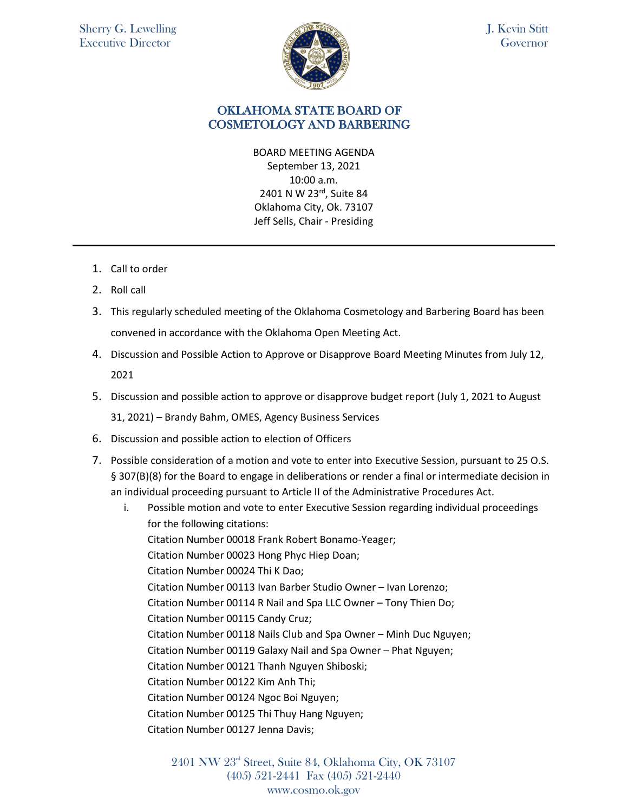

J. Kevin Stitt Governor

## OKLAHOMA STATE BOARD OF COSMETOLOGY AND BARBERING

BOARD MEETING AGENDA September 13, 2021 10:00 a.m. 2401 N W 23rd, Suite 84 Oklahoma City, Ok. 73107 Jeff Sells, Chair - Presiding

- 1. Call to order
- 2. Roll call
- 3. This regularly scheduled meeting of the Oklahoma Cosmetology and Barbering Board has been convened in accordance with the Oklahoma Open Meeting Act.
- 4. Discussion and Possible Action to Approve or Disapprove Board Meeting Minutes from July 12, 2021
- 5. Discussion and possible action to approve or disapprove budget report (July 1, 2021 to August 31, 2021) – Brandy Bahm, OMES, Agency Business Services
- 6. Discussion and possible action to election of Officers
- 7. Possible consideration of a motion and vote to enter into Executive Session, pursuant to 25 O.S. § 307(B)(8) for the Board to engage in deliberations or render a final or intermediate decision in an individual proceeding pursuant to Article II of the Administrative Procedures Act.

i. Possible motion and vote to enter Executive Session regarding individual proceedings for the following citations: Citation Number 00018 Frank Robert Bonamo-Yeager; Citation Number 00023 Hong Phyc Hiep Doan; Citation Number 00024 Thi K Dao; Citation Number 00113 Ivan Barber Studio Owner – Ivan Lorenzo; Citation Number 00114 R Nail and Spa LLC Owner – Tony Thien Do; Citation Number 00115 Candy Cruz; Citation Number 00118 Nails Club and Spa Owner – Minh Duc Nguyen; Citation Number 00119 Galaxy Nail and Spa Owner – Phat Nguyen; Citation Number 00121 Thanh Nguyen Shiboski; Citation Number 00122 Kim Anh Thi; Citation Number 00124 Ngoc Boi Nguyen; Citation Number 00125 Thi Thuy Hang Nguyen; Citation Number 00127 Jenna Davis;

> 2401 NW 23rd Street, Suite 84, Oklahoma City, OK 73107 (405) 521-2441 Fax (405) 521-2440 www.cosmo.ok.gov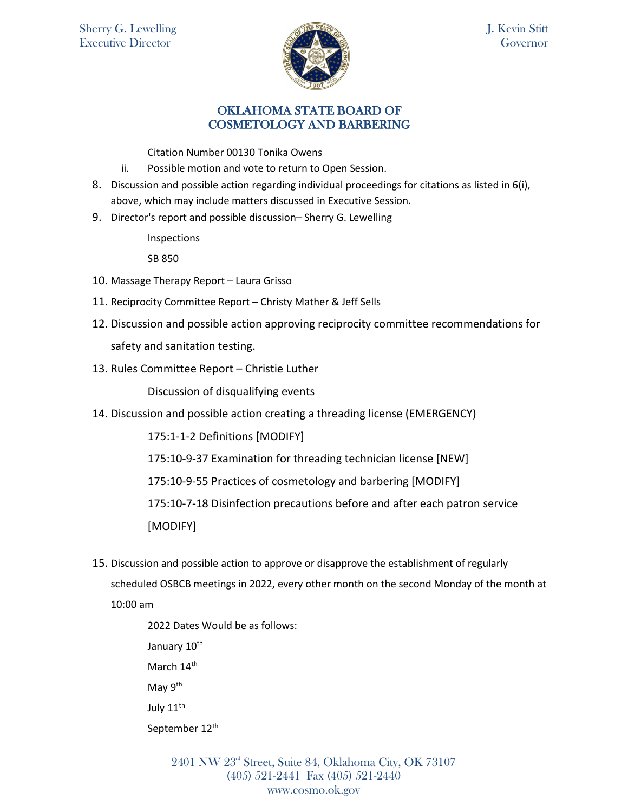

## OKLAHOMA STATE BOARD OF COSMETOLOGY AND BARBERING

Citation Number 00130 Tonika Owens

- ii. Possible motion and vote to return to Open Session.
- 8. Discussion and possible action regarding individual proceedings for citations as listed in 6(i), above, which may include matters discussed in Executive Session.
- 9. Director's report and possible discussion– Sherry G. Lewelling

Inspections

SB 850

- 10. Massage Therapy Report Laura Grisso
- 11. Reciprocity Committee Report Christy Mather & Jeff Sells
- 12. Discussion and possible action approving reciprocity committee recommendations for safety and sanitation testing.
- 13. Rules Committee Report Christie Luther

Discussion of disqualifying events

14. Discussion and possible action creating a threading license (EMERGENCY)

175:1-1-2 Definitions [MODIFY]

175:10-9-37 Examination for threading technician license [NEW]

175:10-9-55 Practices of cosmetology and barbering [MODIFY]

175:10-7-18 Disinfection precautions before and after each patron service

[MODIFY]

15. Discussion and possible action to approve or disapprove the establishment of regularly scheduled OSBCB meetings in 2022, every other month on the second Monday of the month at 10:00 am

> 2022 Dates Would be as follows: January 10<sup>th</sup> March 14<sup>th</sup> May 9th July 11<sup>th</sup> September 12<sup>th</sup>

> > 2401 NW 23rd Street, Suite 84, Oklahoma City, OK 73107 (405) 521-2441 Fax (405) 521-2440 www.cosmo.ok.gov